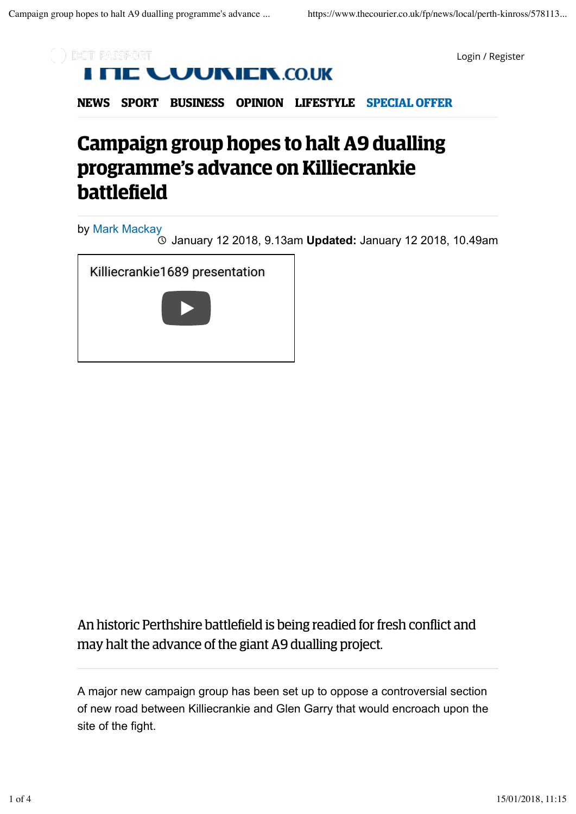

Login / Register

**NEWS SPORT BUSINESS OPINION LIFESTYLE SPECIAL OFFER**

## **Campaign group hopes to halt A9 dualling programme's advance on Killiecrankie battlefield**

by Mark Mackay

January 12 2018, 9.13am **Updated:** January 12 2018, 10.49am

Killiecrankie1689 presentation



An historic Perthshire battlefield is being readied for fresh conflict and may halt the advance of the giant A9 dualling project.

A major new campaign group has been set up to oppose a controversial section of new road between Killiecrankie and Glen Garry that would encroach upon the site of the fight.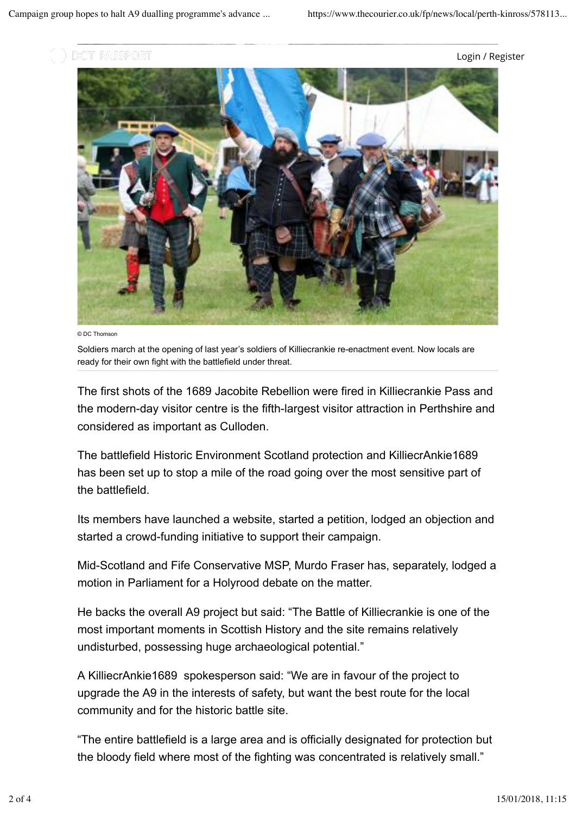

Login / Register



© DC Thomson

Soldiers march at the opening of last year's soldiers of Killiecrankie re-enactment event. Now locals are ready for their own fight with the battlefield under threat.

The first shots of the 1689 Jacobite Rebellion were fired in Killiecrankie Pass and the modern-day visitor centre is the fifth-largest visitor attraction in Perthshire and considered as important as Culloden.

The battlefield Historic Environment Scotland protection and KilliecrAnkie1689 has been set up to stop a mile of the road going over the most sensitive part of the battlefield.

Its members have launched a website, started a petition, lodged an objection and started a crowd-funding initiative to support their campaign.

Mid-Scotland and Fife Conservative MSP, Murdo Fraser has, separately, lodged a motion in Parliament for a Holyrood debate on the matter.

He backs the overall A9 project but said: "The Battle of Killiecrankie is one of the most important moments in Scottish History and the site remains relatively undisturbed, possessing huge archaeological potential."

A KilliecrAnkie1689 spokesperson said: "We are in favour of the project to upgrade the A9 in the interests of safety, but want the best route for the local community and for the historic battle site.

"The entire battlefield is a large area and is officially designated for protection but the bloody field where most of the fighting was concentrated is relatively small."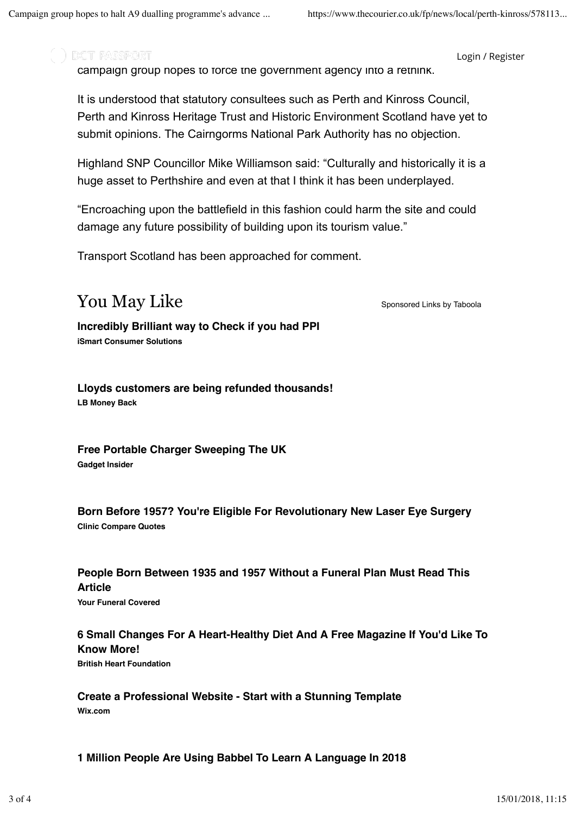) DCT PASSPORT

Login / Register

campaign group hopes to force the government agency into a rethink.

It is understood that statutory consultees such as Perth and Kinross Council, Perth and Kinross Heritage Trust and Historic Environment Scotland have yet to submit opinions. The Cairngorms National Park Authority has no objection.

Highland SNP Councillor Mike Williamson said: "Culturally and historically it is a huge asset to Perthshire and even at that I think it has been underplayed.

"Encroaching upon the battlefield in this fashion could harm the site and could damage any future possibility of building upon its tourism value."

Transport Scotland has been approached for comment.

## **The Sponsored Links by Taboola**

**Incredibly Brilliant way to Check if you had PPI iSmart Consumer Solutions**

**Lloyds customers are being refunded thousands! LB Money Back**

**Free Portable Charger Sweeping The UK Gadget Insider**

**Born Before 1957? You're Eligible For Revolutionary New Laser Eye Surgery Clinic Compare Quotes**

**People Born Between 1935 and 1957 Without a Funeral Plan Must Read This Article**

**Your Funeral Covered**

## **6 Small Changes For A Heart-Healthy Diet And A Free Magazine If You'd Like To Know More!**

**British Heart Foundation**

**Create a Professional Website - Start with a Stunning Template Wix.com**

**1 Million People Are Using Babbel To Learn A Language In 2018**